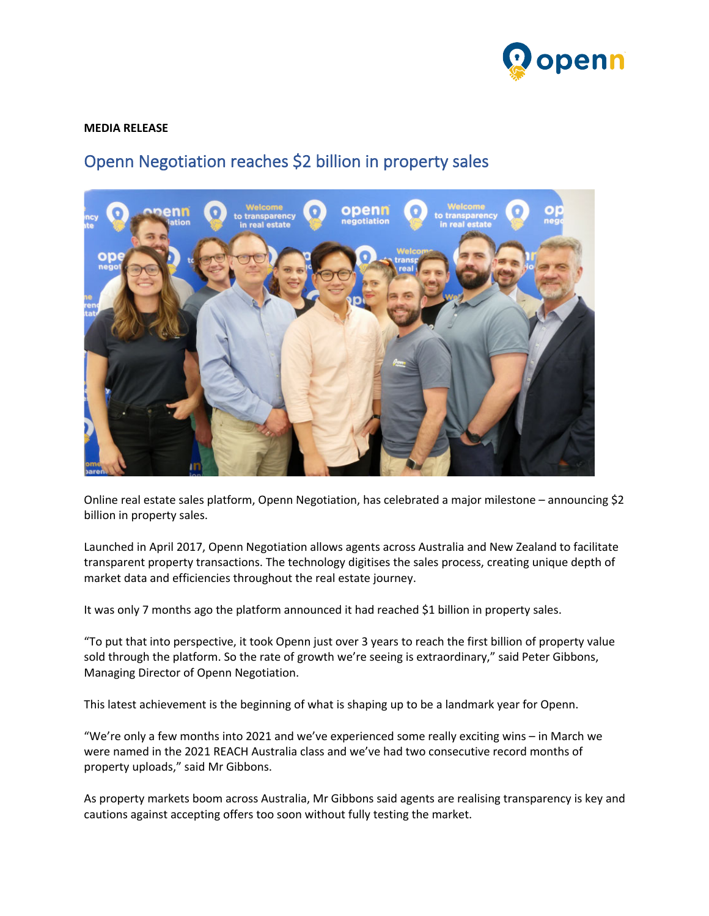

## **MEDIA RELEASE**

## Openn Negotiation reaches \$2 billion in property sales



Online real estate sales platform, Openn Negotiation, has celebrated a major milestone – announcing \$2 billion in property sales.

Launched in April 2017, Openn Negotiation allows agents across Australia and New Zealand to facilitate transparent property transactions. The technology digitises the sales process, creating unique depth of market data and efficiencies throughout the real estate journey.

It was only 7 months ago the platform announced it had reached \$1 billion in property sales.

"To put that into perspective, it took Openn just over 3 years to reach the first billion of property value sold through the platform. So the rate of growth we're seeing is extraordinary," said Peter Gibbons, Managing Director of Openn Negotiation.

This latest achievement is the beginning of what is shaping up to be a landmark year for Openn.

"We're only a few months into 2021 and we've experienced some really exciting wins – in March we were named in the 2021 REACH Australia class and we've had two consecutive record months of property uploads," said Mr Gibbons.

As property markets boom across Australia, Mr Gibbons said agents are realising transparency is key and cautions against accepting offers too soon without fully testing the market.